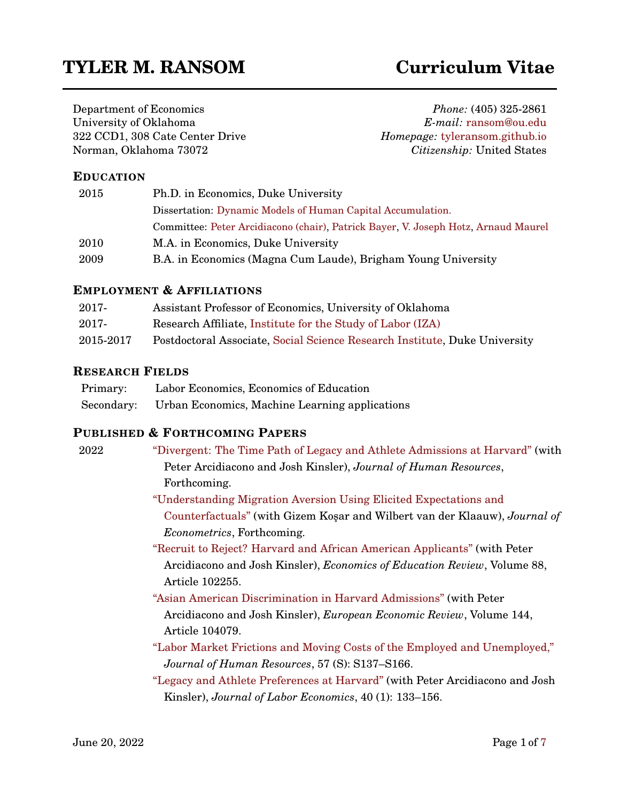# **TYLER M. RANSOM Curriculum Vitae**

Department of Economics University of Oklahoma 322 CCD1, 308 Cate Center Drive Norman, Oklahoma 73072

*Phone:* (405) 325-2861 *E-mail:* [ransom@ou.edu](mailto:ransom@ou.edu) *Homepage:* [tyleransom.github.io](https://tyleransom.github.io) *Citizenship:* United States

#### **EDUCATION**

| 2015 | Ph.D. in Economics, Duke University                                                |
|------|------------------------------------------------------------------------------------|
|      | Dissertation: Dynamic Models of Human Capital Accumulation.                        |
|      | Committee: Peter Arcidiacono (chair), Patrick Bayer, V. Joseph Hotz, Arnaud Maurel |
| 2010 | M.A. in Economics, Duke University                                                 |
| 2009 | B.A. in Economics (Magna Cum Laude), Brigham Young University                      |

#### **EMPLOYMENT & AFFILIATIONS**

| 2017-     | Assistant Professor of Economics, University of Oklahoma                   |
|-----------|----------------------------------------------------------------------------|
| 2017-     | Research Affiliate, Institute for the Study of Labor (IZA)                 |
| 2015-2017 | Postdoctoral Associate, Social Science Research Institute, Duke University |

## **RESEARCH FIELDS**

| Primary:   | Labor Economics, Economics of Education        |
|------------|------------------------------------------------|
| Secondary: | Urban Economics, Machine Learning applications |

## **PUBLISHED & FORTHCOMING PAPERS**

| 2022 | "Divergent: The Time Path of Legacy and Athlete Admissions at Harvard" (with                                                           |
|------|----------------------------------------------------------------------------------------------------------------------------------------|
|      | Peter Arcidiacono and Josh Kinsler), Journal of Human Resources,                                                                       |
|      | Forthcoming.                                                                                                                           |
|      | "Understanding Migration Aversion Using Elicited Expectations and                                                                      |
|      | Counterfactuals" (with Gizem Koşar and Wilbert van der Klaauw), Journal of                                                             |
|      | <i>Econometrics</i> , Forthcoming.                                                                                                     |
|      | "Recruit to Reject? Harvard and African American Applicants" (with Peter                                                               |
|      | Arcidiacono and Josh Kinsler), <i>Economics of Education Review</i> , Volume 88,<br>Article 102255.                                    |
|      | "Asian American Discrimination in Harvard Admissions" (with Peter                                                                      |
|      | Arcidiacono and Josh Kinsler), European Economic Review, Volume 144,<br>Article 104079.                                                |
|      | "Labor Market Frictions and Moving Costs of the Employed and Unemployed,"                                                              |
|      | Journal of Human Resources, 57 (S): S137-S166.                                                                                         |
|      | "Legacy and Athlete Preferences at Harvard" (with Peter Arcidiacono and Josh<br>Kinsler), Journal of Labor Economics, 40 (1): 133–156. |
|      |                                                                                                                                        |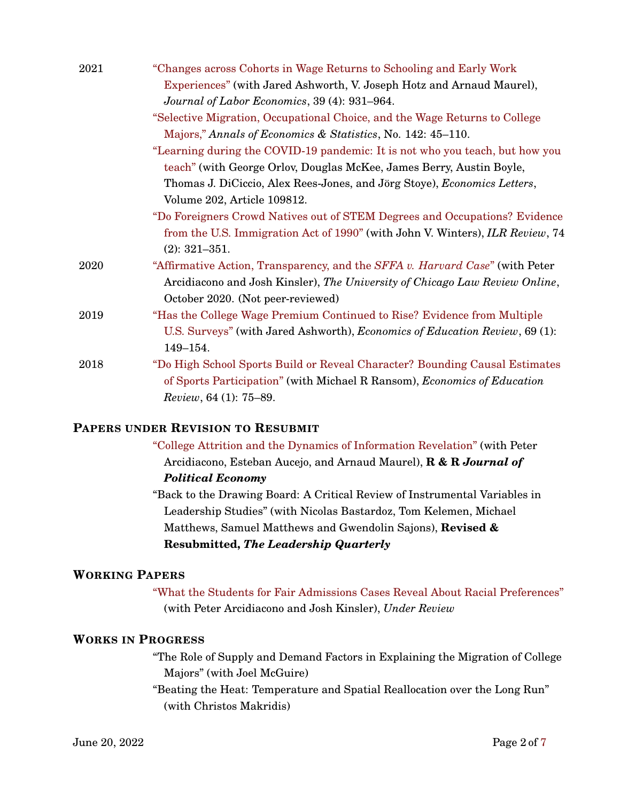| 2021 | "Changes across Cohorts in Wage Returns to Schooling and Early Work             |
|------|---------------------------------------------------------------------------------|
|      | Experiences" (with Jared Ashworth, V. Joseph Hotz and Arnaud Maurel),           |
|      | Journal of Labor Economics, 39 (4): 931-964.                                    |
|      | "Selective Migration, Occupational Choice, and the Wage Returns to College      |
|      | Majors," Annals of Economics & Statistics, No. 142: 45-110.                     |
|      | "Learning during the COVID-19 pandemic: It is not who you teach, but how you    |
|      | teach" (with George Orlov, Douglas McKee, James Berry, Austin Boyle,            |
|      | Thomas J. DiCiccio, Alex Rees-Jones, and Jörg Stoye), Economics Letters,        |
|      | Volume 202, Article 109812.                                                     |
|      | "Do Foreigners Crowd Natives out of STEM Degrees and Occupations? Evidence      |
|      | from the U.S. Immigration Act of 1990" (with John V. Winters), ILR Review, 74   |
|      | $(2): 321 - 351.$                                                               |
| 2020 | "Affirmative Action, Transparency, and the SFFA v. Harvard Case" (with Peter    |
|      | Arcidiacono and Josh Kinsler), The University of Chicago Law Review Online,     |
|      | October 2020. (Not peer-reviewed)                                               |
| 2019 | "Has the College Wage Premium Continued to Rise? Evidence from Multiple         |
|      | U.S. Surveys" (with Jared Ashworth), Economics of Education Review, 69 (1):     |
|      | 149-154.                                                                        |
| 2018 | "Do High School Sports Build or Reveal Character? Bounding Causal Estimates     |
|      | of Sports Participation" (with Michael R Ransom), <i>Economics of Education</i> |
|      | <i>Review</i> , 64 (1): 75–89.                                                  |
|      |                                                                                 |

#### **PAPERS UNDER REVISION TO RESUBMIT**

["College Attrition and the Dynamics of Information Revelation"](http://www.nber.org/papers/w22325) (with Peter Arcidiacono, Esteban Aucejo, and Arnaud Maurel), **R & R** *Journal of Political Economy*

"Back to the Drawing Board: A Critical Review of Instrumental Variables in Leadership Studies" (with Nicolas Bastardoz, Tom Kelemen, Michael Matthews, Samuel Matthews and Gwendolin Sajons), **Revised & Resubmitted,** *The Leadership Quarterly*

#### **WORKING PAPERS**

["What the Students for Fair Admissions Cases Reveal About Racial Preferences"](https://tyleransom.github.io/research/racialpref.pdf) (with Peter Arcidiacono and Josh Kinsler), *Under Review*

## **WORKS IN PROGRESS**

"The Role of Supply and Demand Factors in Explaining the Migration of College Majors" (with Joel McGuire)

"Beating the Heat: Temperature and Spatial Reallocation over the Long Run" (with Christos Makridis)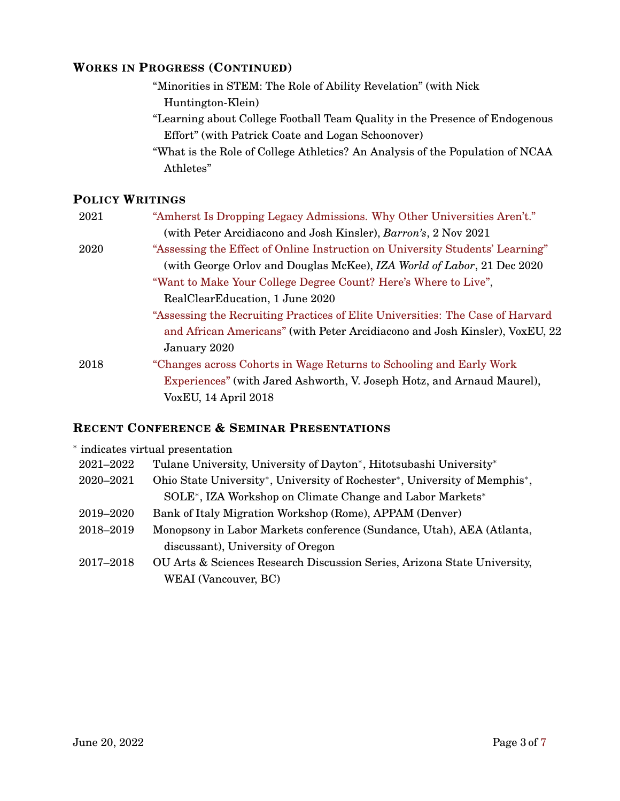#### **WORKS IN PROGRESS (CONTINUED)**

- "Minorities in STEM: The Role of Ability Revelation" (with Nick Huntington-Klein)
- "Learning about College Football Team Quality in the Presence of Endogenous Effort" (with Patrick Coate and Logan Schoonover)
- "What is the Role of College Athletics? An Analysis of the Population of NCAA Athletes"

## **POLICY WRITINGS**

| 2021 | "Amherst Is Dropping Legacy Admissions. Why Other Universities Aren't."        |
|------|--------------------------------------------------------------------------------|
|      | (with Peter Arcidiacono and Josh Kinsler), Barron's, 2 Nov 2021                |
| 2020 | "Assessing the Effect of Online Instruction on University Students' Learning"  |
|      | (with George Orlov and Douglas McKee), IZA World of Labor, 21 Dec 2020         |
|      | "Want to Make Your College Degree Count? Here's Where to Live",                |
|      | RealClearEducation, 1 June 2020                                                |
|      | "Assessing the Recruiting Practices of Elite Universities: The Case of Harvard |
|      | and African Americans" (with Peter Arcidiacono and Josh Kinsler), VoxEU, 22    |
|      | January 2020                                                                   |
| 2018 | "Changes across Cohorts in Wage Returns to Schooling and Early Work"           |
|      | Experiences" (with Jared Ashworth, V. Joseph Hotz, and Arnaud Maurel),         |
|      | VoxEU, 14 April 2018                                                           |

## **RECENT CONFERENCE & SEMINAR PRESENTATIONS**

| * indicates virtual presentation |                                                                                                                  |  |
|----------------------------------|------------------------------------------------------------------------------------------------------------------|--|
| 2021-2022                        | Tulane University, University of Dayton*, Hitotsubashi University*                                               |  |
| 2020-2021                        | Ohio State University <sup>*</sup> , University of Rochester <sup>*</sup> , University of Memphis <sup>*</sup> , |  |
|                                  | SOLE*, IZA Workshop on Climate Change and Labor Markets*                                                         |  |
| 2019–2020                        | Bank of Italy Migration Workshop (Rome), APPAM (Denver)                                                          |  |
| 2018-2019                        | Monopsony in Labor Markets conference (Sundance, Utah), AEA (Atlanta,                                            |  |
|                                  | discussant), University of Oregon                                                                                |  |
| 2017-2018                        | OU Arts & Sciences Research Discussion Series, Arizona State University,                                         |  |
|                                  | WEAI (Vancouver, BC)                                                                                             |  |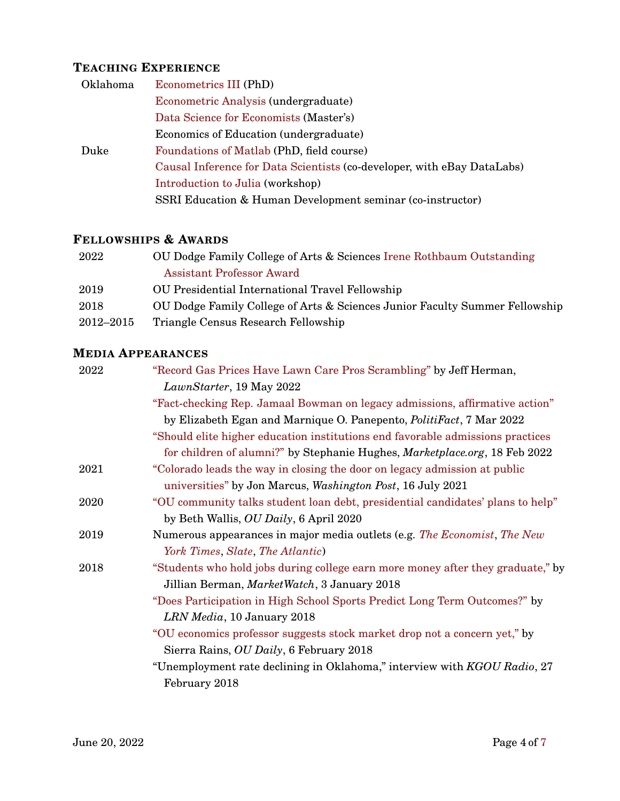# **TEACHING EXPERIENCE**

| Oklahoma | Econometrics III (PhD)                                                  |
|----------|-------------------------------------------------------------------------|
|          | Econometric Analysis (undergraduate)                                    |
|          | Data Science for Economists (Master's)                                  |
|          | Economics of Education (undergraduate)                                  |
| Duke     | Foundations of Matlab (PhD, field course)                               |
|          | Causal Inference for Data Scientists (co-developer, with eBay DataLabs) |
|          | Introduction to Julia (workshop)                                        |
|          | SSRI Education & Human Development seminar (co-instructor)              |

## **FELLOWSHIPS & AWARDS**

| 2022      | OU Dodge Family College of Arts & Sciences Irene Rothbaum Outstanding       |
|-----------|-----------------------------------------------------------------------------|
|           | <b>Assistant Professor Award</b>                                            |
| 2019      | <b>OU</b> Presidential International Travel Fellowship                      |
| 2018      | OU Dodge Family College of Arts & Sciences Junior Faculty Summer Fellowship |
| 2012-2015 | Triangle Census Research Fellowship                                         |

# **MEDIA APPEARANCES**

| 2022 | "Record Gas Prices Have Lawn Care Pros Scrambling" by Jeff Herman,              |
|------|---------------------------------------------------------------------------------|
|      | LawnStarter, 19 May 2022                                                        |
|      | "Fact-checking Rep. Jamaal Bowman on legacy admissions, affirmative action"     |
|      | by Elizabeth Egan and Marnique O. Panepento, <i>PolitiFact</i> , 7 Mar 2022     |
|      | "Should elite higher education institutions end favorable admissions practices  |
|      | for children of alumni?" by Stephanie Hughes, Marketplace.org, 18 Feb 2022      |
| 2021 | "Colorado leads the way in closing the door on legacy admission at public       |
|      | universities" by Jon Marcus, Washington Post, 16 July 2021                      |
| 2020 | "OU community talks student loan debt, presidential candidates' plans to help"  |
|      | by Beth Wallis, OU Daily, 6 April 2020                                          |
| 2019 | Numerous appearances in major media outlets (e.g. The Economist, The New        |
|      | York Times, Slate, The Atlantic)                                                |
| 2018 | "Students who hold jobs during college earn more money after they graduate," by |
|      | Jillian Berman, MarketWatch, 3 January 2018                                     |
|      | "Does Participation in High School Sports Predict Long Term Outcomes?" by       |
|      | LRN Media, 10 January 2018                                                      |
|      | "OU economics professor suggests stock market drop not a concern yet," by       |
|      | Sierra Rains, OU Daily, 6 February 2018                                         |
|      | "Unemployment rate declining in Oklahoma," interview with KGOU Radio, 27        |
|      | February 2018                                                                   |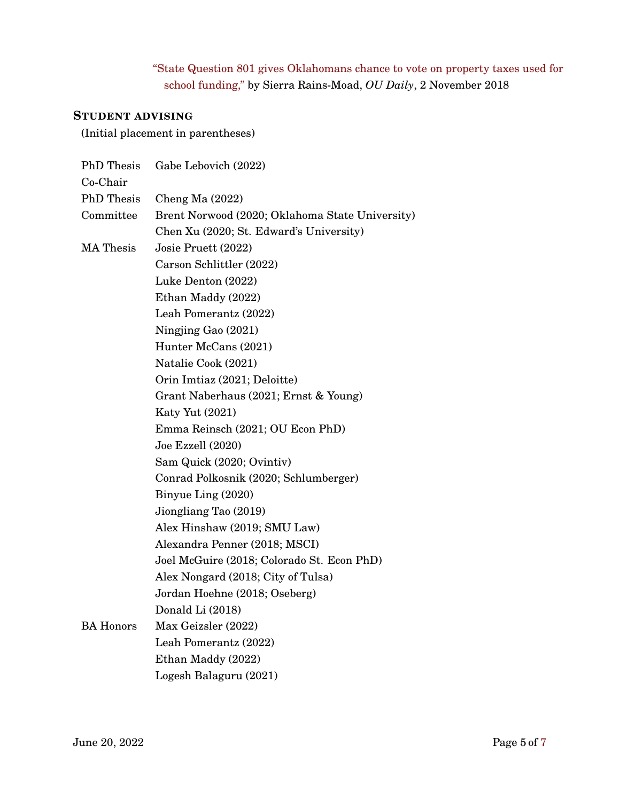# "State Question 801 gives Oklahomans chance to vote on property taxes used for school funding," by Sierra Rains-Moad, *OU Daily*, 2 November 2018

#### **STUDENT ADVISING**

(Initial placement in parentheses)

| <b>PhD</b> Thesis | Gabe Lebovich (2022)                            |
|-------------------|-------------------------------------------------|
| Co-Chair          |                                                 |
| <b>PhD</b> Thesis | Cheng Ma $(2022)$                               |
| Committee         | Brent Norwood (2020; Oklahoma State University) |
|                   | Chen Xu (2020; St. Edward's University)         |
| <b>MA</b> Thesis  | Josie Pruett (2022)                             |
|                   | Carson Schlittler (2022)                        |
|                   | Luke Denton (2022)                              |
|                   | Ethan Maddy (2022)                              |
|                   | Leah Pomerantz (2022)                           |
|                   | Ningjing Gao (2021)                             |
|                   | Hunter McCans (2021)                            |
|                   | Natalie Cook (2021)                             |
|                   | Orin Imtiaz (2021; Deloitte)                    |
|                   | Grant Naberhaus (2021; Ernst & Young)           |
|                   | <b>Katy Yut (2021)</b>                          |
|                   | Emma Reinsch (2021; OU Econ PhD)                |
|                   | Joe Ezzell (2020)                               |
|                   | Sam Quick (2020; Ovintiv)                       |
|                   | Conrad Polkosnik (2020; Schlumberger)           |
|                   | Binyue Ling (2020)                              |
|                   | Jiongliang Tao (2019)                           |
|                   | Alex Hinshaw (2019; SMU Law)                    |
|                   | Alexandra Penner (2018; MSCI)                   |
|                   | Joel McGuire (2018; Colorado St. Econ PhD)      |
|                   | Alex Nongard (2018; City of Tulsa)              |
|                   | Jordan Hoehne (2018; Oseberg)                   |
|                   | Donald Li (2018)                                |
| <b>BA Honors</b>  | Max Geizsler (2022)                             |
|                   | Leah Pomerantz (2022)                           |
|                   | Ethan Maddy (2022)                              |
|                   | Logesh Balaguru (2021)                          |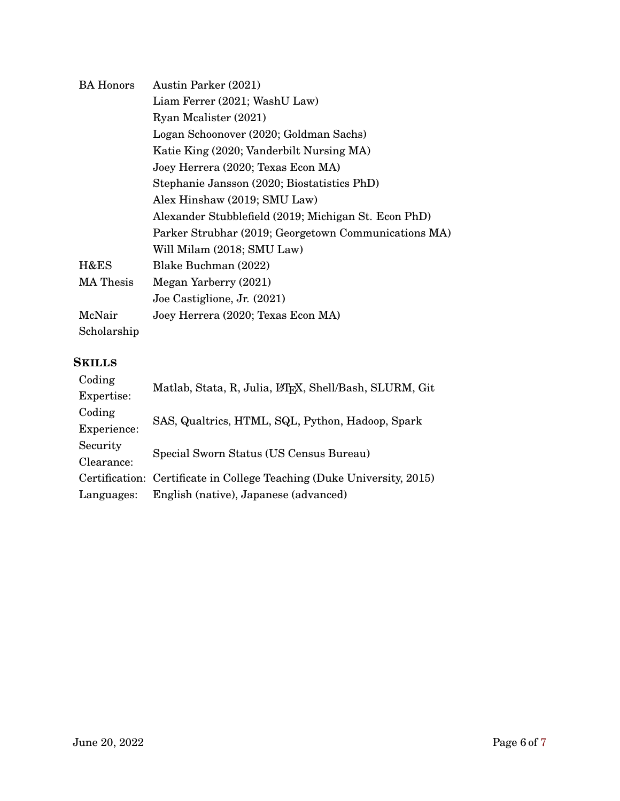| <b>BA Honors</b> | <b>Austin Parker (2021)</b>                          |
|------------------|------------------------------------------------------|
|                  | Liam Ferrer (2021; WashU Law)                        |
|                  | Ryan Mealister (2021)                                |
|                  | Logan Schoonover (2020; Goldman Sachs)               |
|                  | Katie King (2020; Vanderbilt Nursing MA)             |
|                  | Joey Herrera (2020; Texas Econ MA)                   |
|                  | Stephanie Jansson (2020; Biostatistics PhD)          |
|                  | Alex Hinshaw (2019; SMU Law)                         |
|                  | Alexander Stubblefield (2019; Michigan St. Econ PhD) |
|                  | Parker Strubhar (2019; Georgetown Communications MA) |
|                  | Will Milam (2018; SMU Law)                           |
| H&ES             | Blake Buchman (2022)                                 |
| <b>MA</b> Thesis | Megan Yarberry (2021)                                |
|                  | Joe Castiglione, Jr. (2021)                          |
| McNair           | Joey Herrera (2020; Texas Econ MA)                   |
| Scholarship      |                                                      |

## **SKILLS**

| Coding      | Matlab, Stata, R, Julia, LAFX, Shell/Bash, SLURM, Git                  |
|-------------|------------------------------------------------------------------------|
| Expertise:  |                                                                        |
| Coding      | SAS, Qualtrics, HTML, SQL, Python, Hadoop, Spark                       |
| Experience: |                                                                        |
| Security    | Special Sworn Status (US Census Bureau)                                |
| Clearance:  |                                                                        |
|             | Certification: Certificate in College Teaching (Duke University, 2015) |
| Languages:  | English (native), Japanese (advanced)                                  |